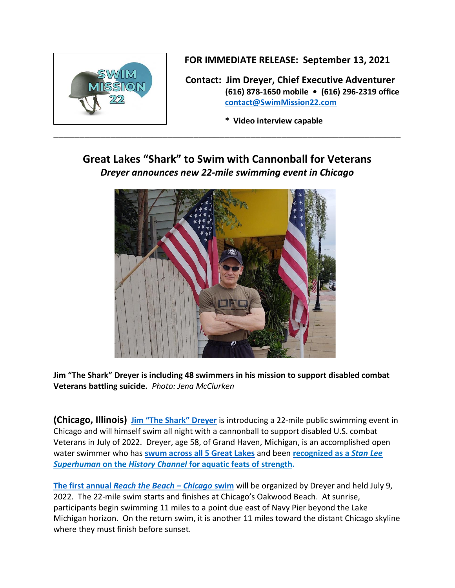

**FOR IMMEDIATE RELEASE: September 13, 2021**

 **Contact: Jim Dreyer, Chief Executive Adventurer (616) 878-1650 mobile • (616) 296-2319 office [contact@SwimMission22.com](mailto:contact@SwimMission22.com)**

 **\* Video interview capable**

# **Great Lakes "Shark" to Swim with Cannonball for Veterans** *Dreyer announces new 22-mile swimming event in Chicago*



**Jim "The Shark" Dreyer is including 48 swimmers in his mission to support disabled combat Veterans battling suicide.** *Photo: Jena McClurken*

**(Chicago, Illinois) [Jim "The Shark" Dreyer](https://www.swimmission22.com/about-swim-mission-22)** is introducing a 22-mile public swimming event in Chicago and will himself swim all night with a cannonball to support disabled U.S. combat Veterans in July of 2022. Dreyer, age 58, of Grand Haven, Michigan, is an accomplished open water swimmer who has **[swum across all 5 Great Lakes](https://www.jimthesharkdreyer.com/great-lakes-ultra-marathon-series)** and been **[recognized as a](https://play.history.com/shows/stan-lees-superhumans/videos/the-human-tug-boat)** *Stan Lee Superhuman* **on the** *History Channel* **[for aquatic feats](https://play.history.com/shows/stan-lees-superhumans/videos/the-human-tug-boat) of strength.**

**The first annual** *[Reach the Beach](http://www.swimmission22.com/) – Chicago* **swim** will be organized by Dreyer and held July 9, 2022. The 22-mile swim starts and finishes at Chicago's Oakwood Beach. At sunrise, participants begin swimming 11 miles to a point due east of Navy Pier beyond the Lake Michigan horizon. On the return swim, it is another 11 miles toward the distant Chicago skyline where they must finish before sunset.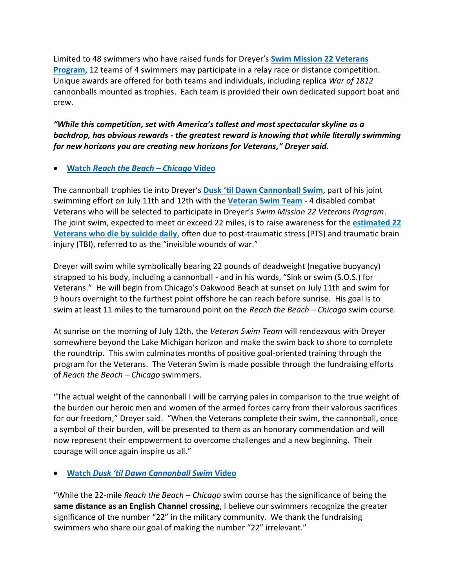Limited to 48 swimmers who have raised funds for Dreyer's **Swim Mission 22 [Veterans](https://www.swimmission22.com/mission-to-make-22-irrelevant) [Program](https://www.swimmission22.com/mission-to-make-22-irrelevant)**, 12 teams of 4 swimmers may participate in a relay race or distance competition. Unique awards are offered for both teams and individuals, including replica *War of 1812* cannonballs mounted as trophies. Each team is provided their own dedicated support boat and crew.

### *"While this competition, set with America's tallest and most spectacular skyline as a backdrop, has obvious rewards - the greatest reward is knowing that while literally swimming for new horizons you are creating new horizons for Veterans," Dreyer said.*

#### • **Watch** *[Reach the Beach](http://www.swimmission22.com/our-videos) – Chicago* **Video**

The cannonball trophies tie into Dreyer's **Dusk 'til Dawn [Cannonball](https://www.swimmission22.com/the-shark-veteran-swims) Swim**, part of his joint swimming effort on July 11th and 12th with the **[Veteran](https://www.swimmission22.com/the-shark-veteran-swims) Swim Team** - 4 disabled combat Veterans who will be selected to participate in Dreyer's *Swim Mission 22 Veterans Program*. The joint swim, expected to meet or exceed 22 miles, is to raise awareness for the **[estimated](https://www.va.gov/opa/docs/Suicide-Data-Report-2012-final.pdf) 22 [Veterans who die by suicide daily](https://www.va.gov/opa/docs/Suicide-Data-Report-2012-final.pdf)**, often due to post-traumatic stress (PTS) and traumatic brain injury (TBI), referred to as the "invisible wounds of war."

Dreyer will swim while symbolically bearing 22 pounds of deadweight (negative buoyancy) strapped to his body, including a cannonball - and in his words, "Sink or swim (S.O.S.) for Veterans." He will begin from Chicago's Oakwood Beach at sunset on July 11th and swim for 9 hours overnight to the furthest point offshore he can reach before sunrise. His goal is to swim at least 11 miles to the turnaround point on the *Reach the Beach – Chicago* swim course.

At sunrise on the morning of July 12th, the *Veteran Swim Team* will rendezvous with Dreyer somewhere beyond the Lake Michigan horizon and make the swim back to shore to complete the roundtrip. This swim culminates months of positive goal-oriented training through the program for the Veterans. The Veteran Swim is made possible through the fundraising efforts of *Reach the Beach – Chicago* swimmers.

"The actual weight of the cannonball I will be carrying pales in comparison to the true weight of the burden our heroic men and women of the armed forces carry from their valorous sacrifices for our freedom," Dreyer said. "When the Veterans complete their swim, the cannonball, once a symbol of their burden, will be presented to them as an honorary commendation and will now represent their empowerment to overcome challenges and a new beginning. Their courage will once again inspire us all."

## • **Watch** *[Dusk 'til Dawn Cannonball Swim](http://www.swimmission22.com/our-videos)* **Video**

"While the 22-mile *Reach the Beach – Chicago* swim course has the significance of being the **same distance as an English Channel crossing**, I believe our swimmers recognize the greater significance of the number "22" in the military community. We thank the fundraising swimmers who share our goal of making the number "22" irrelevant."